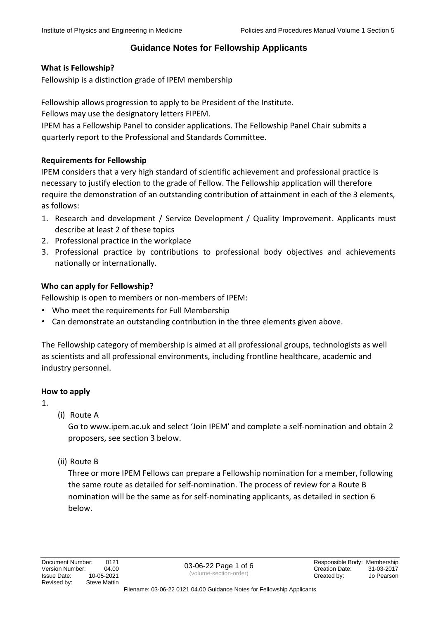## **What is Fellowship?**

Fellowship is a distinction grade of IPEM membership

Fellowship allows progression to apply to be President of the Institute.

Fellows may use the designatory letters FIPEM.

IPEM has a Fellowship Panel to consider applications. The Fellowship Panel Chair submits a quarterly report to the Professional and Standards Committee.

## **Requirements for Fellowship**

IPEM considers that a very high standard of scientific achievement and professional practice is necessary to justify election to the grade of Fellow. The Fellowship application will therefore require the demonstration of an outstanding contribution of attainment in each of the 3 elements, as follows:

- 1. Research and development / Service Development / Quality Improvement. Applicants must describe at least 2 of these topics
- 2. Professional practice in the workplace
- 3. Professional practice by contributions to professional body objectives and achievements nationally or internationally.

# **Who can apply for Fellowship?**

Fellowship is open to members or non-members of IPEM:

- Who meet the requirements for Full Membership
- Can demonstrate an outstanding contribution in the three elements given above.

The Fellowship category of membership is aimed at all professional groups, technologists as well as scientists and all professional environments, including frontline healthcare, academic and industry personnel.

## **How to apply**

1.

(i) Route A

Go to www.ipem.ac.uk and select 'Join IPEM' and complete a self-nomination and obtain 2 proposers, see section 3 below.

(ii) Route B

Three or more IPEM Fellows can prepare a Fellowship nomination for a member, following the same route as detailed for self-nomination. The process of review for a Route B nomination will be the same as for self-nominating applicants, as detailed in section 6 below.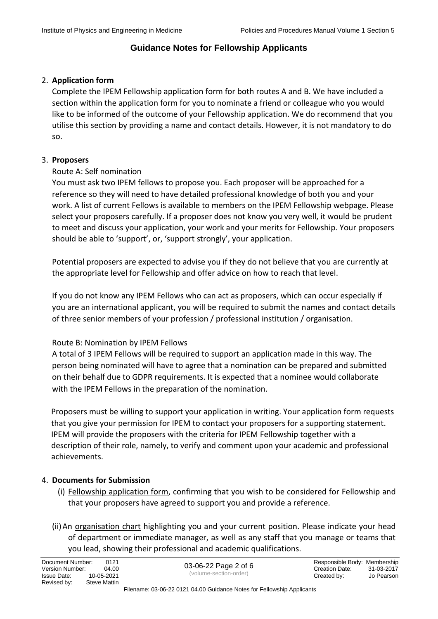#### 2. **Application form**

Complete the IPEM Fellowship application form for both routes A and B. We have included a section within the application form for you to nominate a friend or colleague who you would like to be informed of the outcome of your Fellowship application. We do recommend that you utilise this section by providing a name and contact details. However, it is not mandatory to do so.

#### 3. **Proposers**

#### Route A: Self nomination

You must ask two IPEM fellows to propose you. Each proposer will be approached for a reference so they will need to have detailed professional knowledge of both you and your work. A list of current Fellows is available to members on the IPEM Fellowship webpage. Please select your proposers carefully. If a proposer does not know you very well, it would be prudent to meet and discuss your application, your work and your merits for Fellowship. Your proposers should be able to 'support', or, 'support strongly', your application.

Potential proposers are expected to advise you if they do not believe that you are currently at the appropriate level for Fellowship and offer advice on how to reach that level.

If you do not know any IPEM Fellows who can act as proposers, which can occur especially if you are an international applicant, you will be required to submit the names and contact details of three senior members of your profession / professional institution / organisation.

## Route B: Nomination by IPEM Fellows

A total of 3 IPEM Fellows will be required to support an application made in this way. The person being nominated will have to agree that a nomination can be prepared and submitted on their behalf due to GDPR requirements. It is expected that a nominee would collaborate with the IPEM Fellows in the preparation of the nomination.

Proposers must be willing to support your application in writing. Your application form requests that you give your permission for IPEM to contact your proposers for a supporting statement. IPEM will provide the proposers with the criteria for IPEM Fellowship together with a description of their role, namely, to verify and comment upon your academic and professional achievements.

#### 4. **Documents for Submission**

- (i) Fellowship application form, confirming that you wish to be considered for Fellowship and that your proposers have agreed to support you and provide a reference.
- (ii) An organisation chart highlighting you and your current position. Please indicate your head of department or immediate manager, as well as any staff that you manage or teams that you lead, showing their professional and academic qualifications.

| (volume-section-order)<br>10-05-2021<br><b>Issue Date:</b><br>Created by:<br>Revised by:<br>Steve Mattin | 0121<br>Document Number:<br>Version Number:<br>04.00 | 03-06-22 Page 2 of 6 | Responsible Body: Membership<br>Creation Date: | 31-03-2017<br>Jo Pearson |
|----------------------------------------------------------------------------------------------------------|------------------------------------------------------|----------------------|------------------------------------------------|--------------------------|
|----------------------------------------------------------------------------------------------------------|------------------------------------------------------|----------------------|------------------------------------------------|--------------------------|

#### Filename: 03-06-22 0121 04.00 Guidance Notes for Fellowship Applicants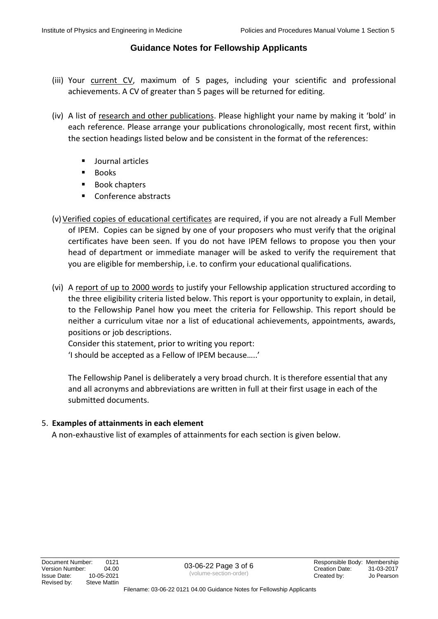- (iii) Your current CV, maximum of 5 pages, including your scientific and professional achievements. A CV of greater than 5 pages will be returned for editing.
- (iv) A list of research and other publications. Please highlight your name by making it 'bold' in each reference. Please arrange your publications chronologically, most recent first, within the section headings listed below and be consistent in the format of the references:
	- Journal articles
	- Books
	- Book chapters
	- Conference abstracts
- (v)Verified copies of educational certificates are required, if you are not already a Full Member of IPEM. Copies can be signed by one of your proposers who must verify that the original certificates have been seen. If you do not have IPEM fellows to propose you then your head of department or immediate manager will be asked to verify the requirement that you are eligible for membership, i.e. to confirm your educational qualifications.
- (vi) A report of up to 2000 words to justify your Fellowship application structured according to the three eligibility criteria listed below. This report is your opportunity to explain, in detail, to the Fellowship Panel how you meet the criteria for Fellowship. This report should be neither a curriculum vitae nor a list of educational achievements, appointments, awards, positions or job descriptions.

Consider this statement, prior to writing you report:

'I should be accepted as a Fellow of IPEM because…..'

The Fellowship Panel is deliberately a very broad church. It is therefore essential that any and all acronyms and abbreviations are written in full at their first usage in each of the submitted documents.

## 5. **Examples of attainments in each element**

A non-exhaustive list of examples of attainments for each section is given below.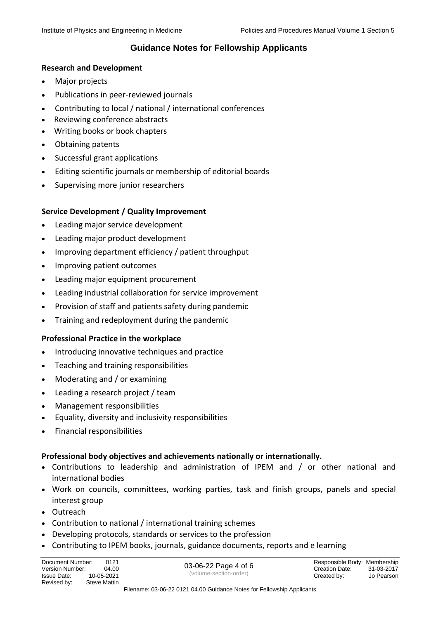#### **Research and Development**

- Major projects
- Publications in peer-reviewed journals
- Contributing to local / national / international conferences
- Reviewing conference abstracts
- Writing books or book chapters
- Obtaining patents
- Successful grant applications
- Editing scientific journals or membership of editorial boards
- Supervising more junior researchers

#### **Service Development / Quality Improvement**

- Leading major service development
- Leading major product development
- Improving department efficiency / patient throughput
- Improving patient outcomes
- Leading major equipment procurement
- Leading industrial collaboration for service improvement
- Provision of staff and patients safety during pandemic
- Training and redeployment during the pandemic

#### **Professional Practice in the workplace**

- Introducing innovative techniques and practice
- Teaching and training responsibilities
- Moderating and / or examining
- Leading a research project / team
- Management responsibilities
- Equality, diversity and inclusivity responsibilities
- Financial responsibilities

#### **Professional body objectives and achievements nationally or internationally.**

- Contributions to leadership and administration of IPEM and / or other national and international bodies
- Work on councils, committees, working parties, task and finish groups, panels and special interest group
- Outreach
- Contribution to national / international training schemes
- Developing protocols, standards or services to the profession
- Contributing to IPEM books, journals, guidance documents, reports and e learning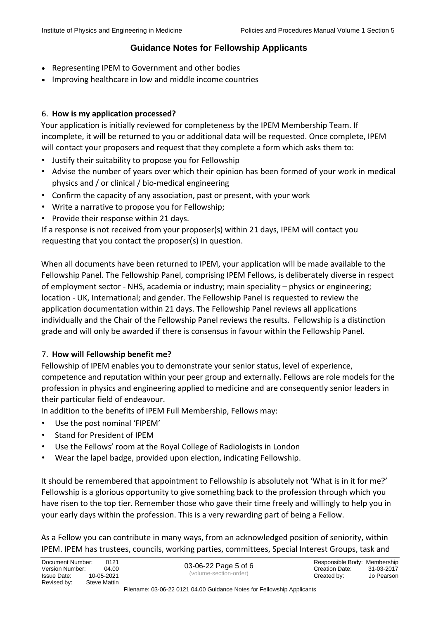- Representing IPEM to Government and other bodies
- Improving healthcare in low and middle income countries

## 6. **How is my application processed?**

Your application is initially reviewed for completeness by the IPEM Membership Team. If incomplete, it will be returned to you or additional data will be requested. Once complete, IPEM will contact your proposers and request that they complete a form which asks them to:

- Justify their suitability to propose you for Fellowship
- Advise the number of years over which their opinion has been formed of your work in medical physics and / or clinical / bio-medical engineering
- Confirm the capacity of any association, past or present, with your work
- Write a narrative to propose you for Fellowship;
- Provide their response within 21 days.

If a response is not received from your proposer(s) within 21 days, IPEM will contact you requesting that you contact the proposer(s) in question.

When all documents have been returned to IPEM, your application will be made available to the Fellowship Panel. The Fellowship Panel, comprising IPEM Fellows, is deliberately diverse in respect of employment sector - NHS, academia or industry; main speciality – physics or engineering; location - UK, International; and gender. The Fellowship Panel is requested to review the application documentation within 21 days. The Fellowship Panel reviews all applications individually and the Chair of the Fellowship Panel reviews the results. Fellowship is a distinction grade and will only be awarded if there is consensus in favour within the Fellowship Panel.

## 7. **How will Fellowship benefit me?**

Fellowship of IPEM enables you to demonstrate your senior status, level of experience, competence and reputation within your peer group and externally. Fellows are role models for the profession in physics and engineering applied to medicine and are consequently senior leaders in their particular field of endeavour.

In addition to the benefits of IPEM Full Membership, Fellows may:

- Use the post nominal 'FIPEM'
- Stand for President of IPEM
- Use the Fellows' room at the Royal College of Radiologists in London
- Wear the lapel badge, provided upon election, indicating Fellowship.

It should be remembered that appointment to Fellowship is absolutely not 'What is in it for me?' Fellowship is a glorious opportunity to give something back to the profession through which you have risen to the top tier. Remember those who gave their time freely and willingly to help you in your early days within the profession. This is a very rewarding part of being a Fellow.

As a Fellow you can contribute in many ways, from an acknowledged position of seniority, within IPEM. IPEM has trustees, councils, working parties, committees, Special Interest Groups, task and